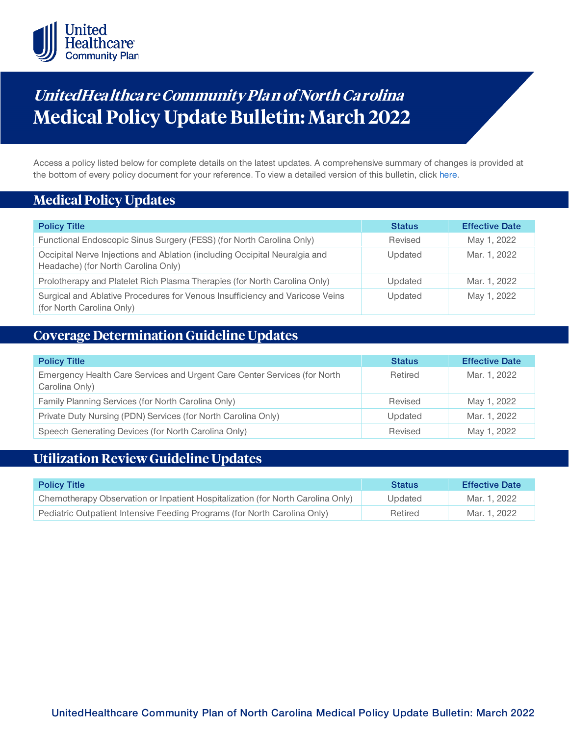

# **UnitedHea lthca re Community Pla n of North Ca rolina Medical Policy Update Bulletin: March 2022**

Access a policy listed below for complete details on the latest updates. A comprehensive summary of changes is provided at the bottom of every policy document for your reference. To view a detailed version of this bulletin, clic[k here.](https://www.uhcprovider.com/content/dam/provider/docs/public/policies/mpub-archives/comm-plan/nc/community-plan-nc-medical-policy-update-bulletin-march-2022-full.pdf)

### **Medical Policy Updates**

| <b>Policy Title</b>                                                                                               | <b>Status</b> | <b>Effective Date</b> |
|-------------------------------------------------------------------------------------------------------------------|---------------|-----------------------|
| Functional Endoscopic Sinus Surgery (FESS) (for North Carolina Only)                                              | Revised       | May 1, 2022           |
| Occipital Nerve Injections and Ablation (including Occipital Neuralgia and<br>Headache) (for North Carolina Only) | Updated       | Mar. 1, 2022          |
| Prolotherapy and Platelet Rich Plasma Therapies (for North Carolina Only)                                         | Updated       | Mar. 1, 2022          |
| Surgical and Ablative Procedures for Venous Insufficiency and Varicose Veins<br>(for North Carolina Only)         | Updated       | May 1, 2022           |

### **Coverage Determination Guideline Updates**

| <b>Policy Title</b>                                                                         | <b>Status</b> | <b>Effective Date</b> |
|---------------------------------------------------------------------------------------------|---------------|-----------------------|
| Emergency Health Care Services and Urgent Care Center Services (for North<br>Carolina Only) | Retired       | Mar. 1, 2022          |
| Family Planning Services (for North Carolina Only)                                          | Revised       | May 1, 2022           |
| Private Duty Nursing (PDN) Services (for North Carolina Only)                               | Updated       | Mar. 1, 2022          |
| Speech Generating Devices (for North Carolina Only)                                         | Revised       | May 1, 2022           |

## **Utilization Review Guideline Updates**

| <b>Policy Title</b>                                                             | <b>Status</b> | <b>Effective Date</b> |
|---------------------------------------------------------------------------------|---------------|-----------------------|
| Chemotherapy Observation or Inpatient Hospitalization (for North Carolina Only) | Updated       | Mar. 1. 2022          |
| Pediatric Outpatient Intensive Feeding Programs (for North Carolina Only)       | Retired       | Mar. 1, 2022          |